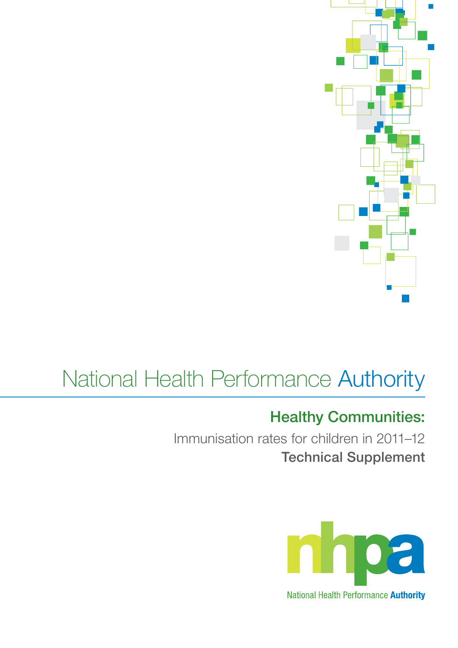

# National Health Performance Authority

## Healthy Communities:

Immunisation rates for children in 2011–12 Technical Supplement

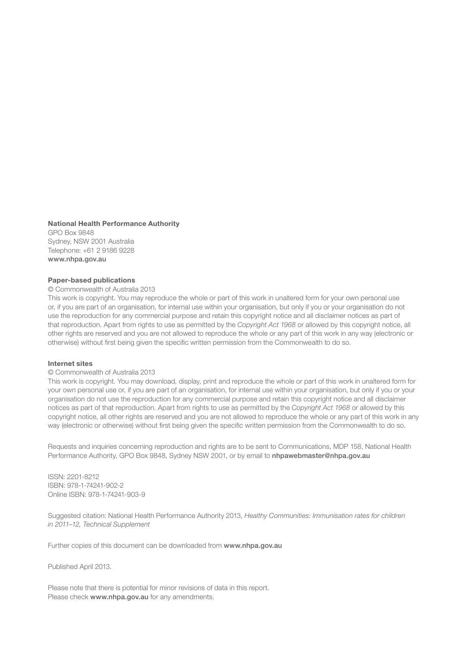#### National Health Performance Authority

GPO Box 9848 Sydney, NSW 2001 Australia Telephone: +61 2 9186 9228 www.nhpa.gov.au

#### Paper-based publications

#### © Commonwealth of Australia 2013

This work is copyright. You may reproduce the whole or part of this work in unaltered form for your own personal use or, if you are part of an organisation, for internal use within your organisation, but only if you or your organisation do not use the reproduction for any commercial purpose and retain this copyright notice and all disclaimer notices as part of that reproduction. Apart from rights to use as permitted by the *Copyright Act 1968* or allowed by this copyright notice, all other rights are reserved and you are not allowed to reproduce the whole or any part of this work in any way (electronic or otherwise) without first being given the specific written permission from the Commonwealth to do so.

#### Internet sites

#### © Commonwealth of Australia 2013

This work is copyright. You may download, display, print and reproduce the whole or part of this work in unaltered form for your own personal use or, if you are part of an organisation, for internal use within your organisation, but only if you or your organisation do not use the reproduction for any commercial purpose and retain this copyright notice and all disclaimer notices as part of that reproduction. Apart from rights to use as permitted by the *Copyright Act 1968* or allowed by this copyright notice, all other rights are reserved and you are not allowed to reproduce the whole or any part of this work in any way (electronic or otherwise) without first being given the specific written permission from the Commonwealth to do so.

Requests and inquiries concerning reproduction and rights are to be sent to Communications, MDP 158, National Health Performance Authority, GPO Box 9848, Sydney NSW 2001, or by email to nhpawebmaster@nhpa.gov.au

ISSN: 2201-8212 ISBN: 978-1-74241-902-2 Online ISBN: 978-1-74241-903-9

Suggested citation: National Health Performance Authority 2013, *Healthy Communities: Immunisation rates for children in 2011–12, Technical Supplement*

Further copies of this document can be downloaded from www.nhpa.gov.au

Published April 2013.

Please note that there is potential for minor revisions of data in this report. Please check www.nhpa.gov.au for any amendments.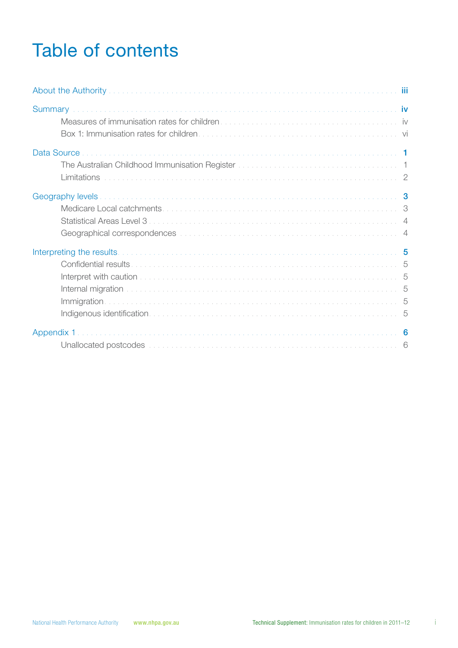## Table of contents

| The Australian Childhood Immunisation Register Manuscript Australian Manuscript 1                                                                                                                                              |
|--------------------------------------------------------------------------------------------------------------------------------------------------------------------------------------------------------------------------------|
|                                                                                                                                                                                                                                |
| Internal migration with a substitution of the contract of the contract of the contract of the contract of the contract of the contract of the contract of the contract of the contract of the contract of the contract of the  |
| Unallocated postcodes with a contract the contract of the contract of the contract of the contract of the contract of the contract of the contract of the contract of the contract of the contract of the contract of the cont |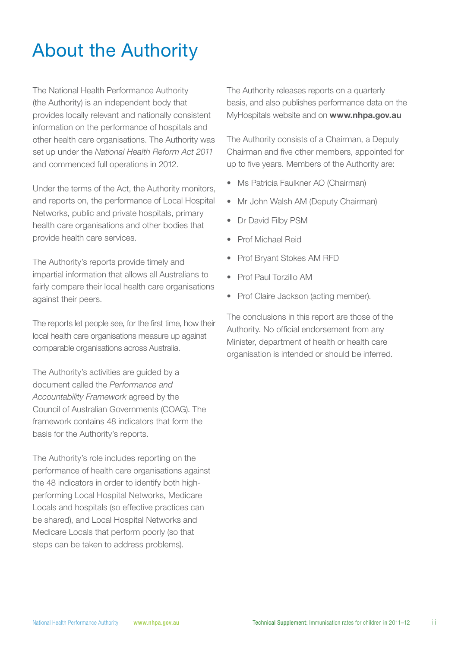## About the Authority

The National Health Performance Authority (the Authority) is an independent body that provides locally relevant and nationally consistent information on the performance of hospitals and other health care organisations. The Authority was set up under the *National Health Reform Act 2011* and commenced full operations in 2012.

Under the terms of the Act, the Authority monitors, and reports on, the performance of Local Hospital Networks, public and private hospitals, primary health care organisations and other bodies that provide health care services.

The Authority's reports provide timely and impartial information that allows all Australians to fairly compare their local health care organisations against their peers.

The reports let people see, for the first time, how their local health care organisations measure up against comparable organisations across Australia.

The Authority's activities are guided by a document called the *Performance and Accountability Framework* agreed by the Council of Australian Governments (COAG). The framework contains 48 indicators that form the basis for the Authority's reports.

The Authority's role includes reporting on the performance of health care organisations against the 48 indicators in order to identify both highperforming Local Hospital Networks, Medicare Locals and hospitals (so effective practices can be shared), and Local Hospital Networks and Medicare Locals that perform poorly (so that steps can be taken to address problems).

The Authority releases reports on a quarterly basis, and also publishes performance data on the MyHospitals website and on www.nhpa.gov.au

The Authority consists of a Chairman, a Deputy Chairman and five other members, appointed for up to five years. Members of the Authority are:

- Ms Patricia Faulkner AO (Chairman)
- Mr John Walsh AM (Deputy Chairman)
- Dr David Filby PSM
- • Prof Michael Reid
- Prof Bryant Stokes AM RFD
- Prof Paul Torzillo AM
- Prof Claire Jackson (acting member).

The conclusions in this report are those of the Authority. No official endorsement from any Minister, department of health or health care organisation is intended or should be inferred.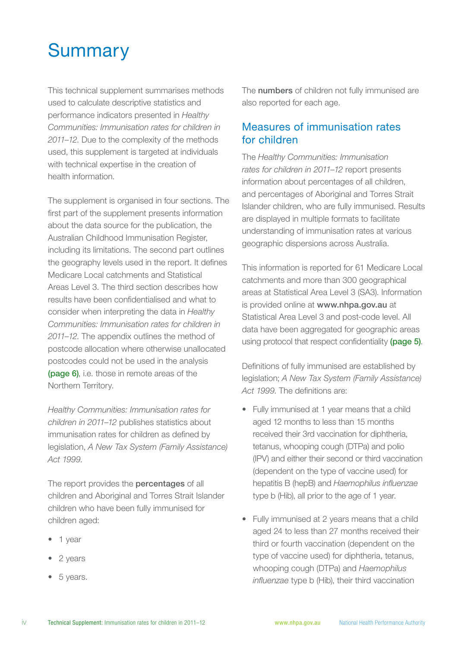## **Summary**

This technical supplement summarises methods used to calculate descriptive statistics and performance indicators presented in *Healthy Communities: Immunisation rates for children in 2011–12*. Due to the complexity of the methods used, this supplement is targeted at individuals with technical expertise in the creation of health information.

The supplement is organised in four sections. The first part of the supplement presents information about the data source for the publication, the Australian Childhood Immunisation Register, including its limitations. The second part outlines the geography levels used in the report. It defines Medicare Local catchments and Statistical Areas Level 3. The third section describes how results have been confidentialised and what to consider when interpreting the data in *Healthy Communities: Immunisation rates for children in 2011–12*. The appendix outlines the method of postcode allocation where otherwise unallocated postcodes could not be used in the analysis (page 6), i.e. those in remote areas of the Northern Territory.

*Healthy Communities: Immunisation rates for children in 2011–12* publishes statistics about immunisation rates for children as defined by legislation, *A New Tax System (Family Assistance) Act 1999*.

The report provides the **percentages** of all children and Aboriginal and Torres Strait Islander children who have been fully immunised for children aged:

- 1 year
- 2 years
- 5 years.

The **numbers** of children not fully immunised are also reported for each age.

### Measures of immunisation rates for children

The *Healthy Communities: Immunisation rates for children in 2011–12* report presents information about percentages of all children, and percentages of Aboriginal and Torres Strait Islander children, who are fully immunised. Results are displayed in multiple formats to facilitate understanding of immunisation rates at various geographic dispersions across Australia.

This information is reported for 61 Medicare Local catchments and more than 300 geographical areas at Statistical Area Level 3 (SA3). Information is provided online at www.nhpa.gov.au at Statistical Area Level 3 and post-code level. All data have been aggregated for geographic areas using protocol that respect confidentiality (page 5).

Definitions of fully immunised are established by legislation; *A New Tax System (Family Assistance) Act 1999*. The definitions are:

- Fully immunised at 1 year means that a child aged 12 months to less than 15 months received their 3rd vaccination for diphtheria, tetanus, whooping cough (DTPa) and polio (IPV) and either their second or third vaccination (dependent on the type of vaccine used) for hepatitis B (hepB) and *Haemophilus influenzae* type b (Hib), all prior to the age of 1 year.
- Fully immunised at 2 years means that a child aged 24 to less than 27 months received their third or fourth vaccination (dependent on the type of vaccine used) for diphtheria, tetanus, whooping cough (DTPa) and *Haemophilus influenzae* type b (Hib), their third vaccination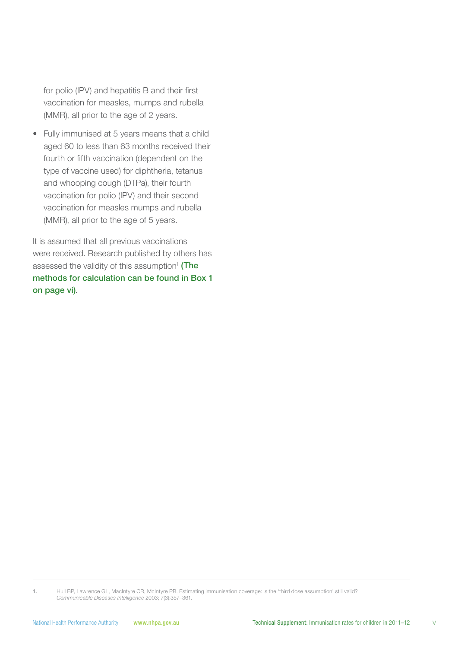for polio (IPV) and hepatitis B and their first vaccination for measles, mumps and rubella (MMR), all prior to the age of 2 years.

• Fully immunised at 5 years means that a child aged 60 to less than 63 months received their fourth or fifth vaccination (dependent on the type of vaccine used) for diphtheria, tetanus and whooping cough (DTPa), their fourth vaccination for polio (IPV) and their second vaccination for measles mumps and rubella (MMR), all prior to the age of 5 years.

It is assumed that all previous vaccinations were received. Research published by others has assessed the validity of this assumption<sup>1</sup> (The methods for calculation can be found in Box 1 on page vi).

1. Hull BP, Lawrence GL, MacIntyre CR, McIntyre PB. Estimating immunisation coverage: is the 'third dose assumption' still valid? *Communicable Diseases Intelligence* 2003; 7(3):357–361.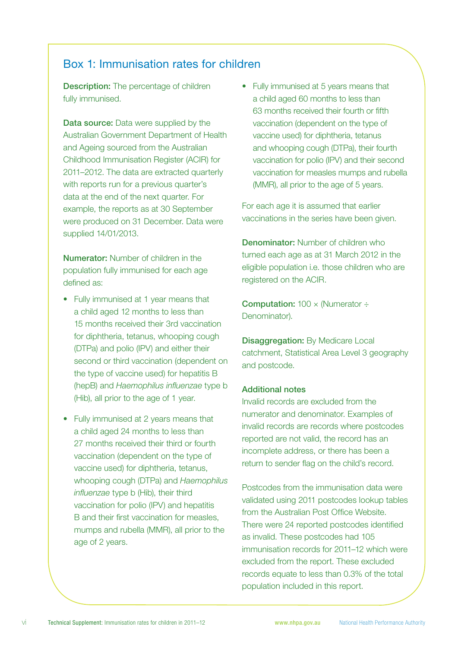### Box 1: Immunisation rates for children

**Description:** The percentage of children fully immunised.

**Data source:** Data were supplied by the Australian Government Department of Health and Ageing sourced from the Australian Childhood Immunisation Register (ACIR) for 2011–2012. The data are extracted quarterly with reports run for a previous quarter's data at the end of the next quarter. For example, the reports as at 30 September were produced on 31 December. Data were supplied 14/01/2013.

Numerator: Number of children in the population fully immunised for each age defined as:

- Fully immunised at 1 year means that a child aged 12 months to less than 15 months received their 3rd vaccination for diphtheria, tetanus, whooping cough (DTPa) and polio (IPV) and either their second or third vaccination (dependent on the type of vaccine used) for hepatitis B (hepB) and *Haemophilus influenzae* type b (Hib), all prior to the age of 1 year.
- Fully immunised at 2 years means that a child aged 24 months to less than 27 months received their third or fourth vaccination (dependent on the type of vaccine used) for diphtheria, tetanus, whooping cough (DTPa) and *Haemophilus influenzae* type b (Hib), their third vaccination for polio (IPV) and hepatitis B and their first vaccination for measles, mumps and rubella (MMR), all prior to the age of 2 years.

• Fully immunised at 5 years means that a child aged 60 months to less than 63 months received their fourth or fifth vaccination (dependent on the type of vaccine used) for diphtheria, tetanus and whooping cough (DTPa), their fourth vaccination for polio (IPV) and their second vaccination for measles mumps and rubella (MMR), all prior to the age of 5 years.

For each age it is assumed that earlier vaccinations in the series have been given.

**Denominator:** Number of children who turned each age as at 31 March 2012 in the eligible population i.e. those children who are registered on the ACIR.

**Computation:**  $100 \times$  (Numerator  $\div$ Denominator).

Disaggregation: By Medicare Local catchment, Statistical Area Level 3 geography and postcode.

#### Additional notes

Invalid records are excluded from the numerator and denominator. Examples of invalid records are records where postcodes reported are not valid, the record has an incomplete address, or there has been a return to sender flag on the child's record.

Postcodes from the immunisation data were validated using 2011 postcodes lookup tables from the Australian Post Office Website. There were 24 reported postcodes identified as invalid. These postcodes had 105 immunisation records for 2011–12 which were excluded from the report. These excluded records equate to less than 0.3% of the total population included in this report.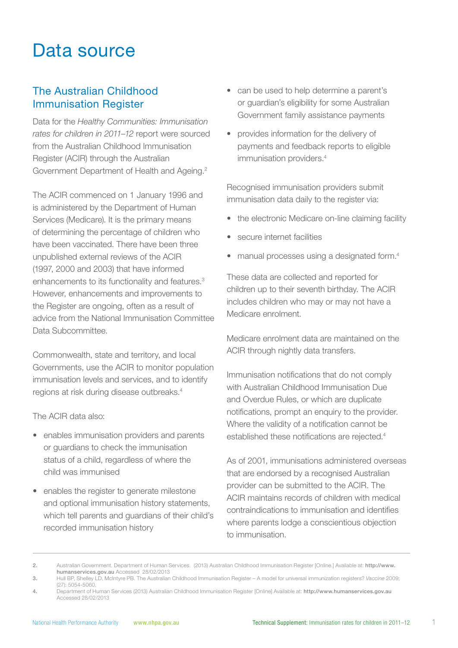## Data source

### The Australian Childhood Immunisation Register

Data for the *Healthy Communities: Immunisation rates for children in 2011–12* report were sourced from the Australian Childhood Immunisation Register (ACIR) through the Australian Government Department of Health and Ageing.<sup>2</sup>

The ACIR commenced on 1 January 1996 and is administered by the Department of Human Services (Medicare). It is the primary means of determining the percentage of children who have been vaccinated. There have been three unpublished external reviews of the ACIR (1997, 2000 and 2003) that have informed enhancements to its functionality and features.<sup>3</sup> However, enhancements and improvements to the Register are ongoing, often as a result of advice from the National Immunisation Committee Data Subcommittee.

Commonwealth, state and territory, and local Governments, use the ACIR to monitor population immunisation levels and services, and to identify regions at risk during disease outbreaks.4

The ACIR data also:

- enables immunisation providers and parents or guardians to check the immunisation status of a child, regardless of where the child was immunised
- enables the register to generate milestone and optional immunisation history statements, which tell parents and guardians of their child's recorded immunisation history
- can be used to help determine a parent's or guardian's eligibility for some Australian Government family assistance payments
- provides information for the delivery of payments and feedback reports to eligible immunisation providers.<sup>4</sup>

Recognised immunisation providers submit immunisation data daily to the register via:

- the electronic Medicare on-line claiming facility
- secure internet facilities
- manual processes using a designated form.<sup>4</sup>

These data are collected and reported for children up to their seventh birthday. The ACIR includes children who may or may not have a Medicare enrolment.

Medicare enrolment data are maintained on the ACIR through nightly data transfers.

Immunisation notifications that do not comply with Australian Childhood Immunisation Due and Overdue Rules, or which are duplicate notifications, prompt an enquiry to the provider. Where the validity of a notification cannot be established these notifications are rejected.4

As of 2001, immunisations administered overseas that are endorsed by a recognised Australian provider can be submitted to the ACIR. The ACIR maintains records of children with medical contraindications to immunisation and identifies where parents lodge a conscientious objection to immunisation.

2. Australian Government. Department of Human Services. (2013) Australian Childhood Immunisation Register [Online.] Available at: http://www. humanservices.gov.au Accessed 28/02/2013

3. Hull BP, Shelley LD, McIntyre PB. The Australian Childhood Immunisation Register – A model for universal immunization registers? *Vaccine* 2009; (27): 5054-5060.

<sup>4.</sup> Department of Human Services (2013) Australian Childhood Immunisation Register [Online] Available at: http://www.humanservices.gov.au Accessed 28/02/2013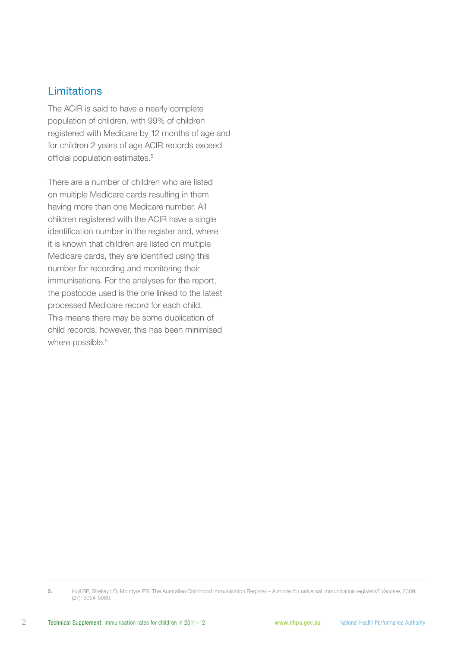### Limitations

The ACIR is said to have a nearly complete population of children, with 99% of children registered with Medicare by 12 months of age and for children 2 years of age ACIR records exceed official population estimates.<sup>5</sup>

There are a number of children who are listed on multiple Medicare cards resulting in them having more than one Medicare number. All children registered with the ACIR have a single identification number in the register and, where it is known that children are listed on multiple Medicare cards, they are identified using this number for recording and monitoring their immunisations. For the analyses for the report, the postcode used is the one linked to the latest processed Medicare record for each child. This means there may be some duplication of child records, however, this has been minimised where possible.<sup>5</sup>

<sup>5.</sup> Hull BP, Shelley LD, McIntyre PB. The Australian Childhood Immunisation Register – A model for universal immunization registers? *Vaccine*, 2009; (27): 5054-5060.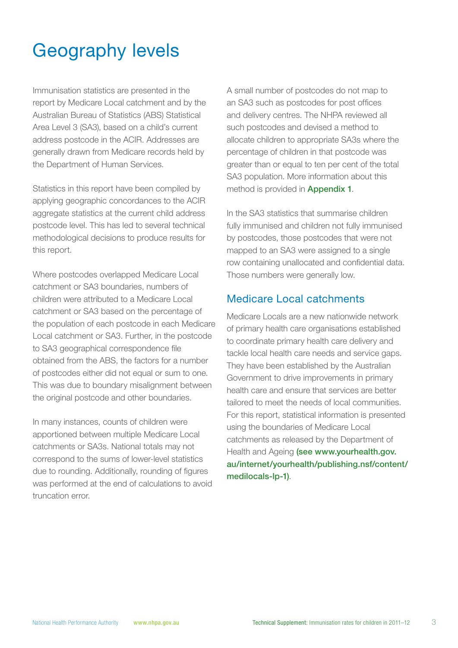## Geography levels

Immunisation statistics are presented in the report by Medicare Local catchment and by the Australian Bureau of Statistics (ABS) Statistical Area Level 3 (SA3), based on a child's current address postcode in the ACIR. Addresses are generally drawn from Medicare records held by the Department of Human Services.

Statistics in this report have been compiled by applying geographic concordances to the ACIR aggregate statistics at the current child address postcode level. This has led to several technical methodological decisions to produce results for this report.

Where postcodes overlapped Medicare Local catchment or SA3 boundaries, numbers of children were attributed to a Medicare Local catchment or SA3 based on the percentage of the population of each postcode in each Medicare Local catchment or SA3. Further, in the postcode to SA3 geographical correspondence file obtained from the ABS, the factors for a number of postcodes either did not equal or sum to one. This was due to boundary misalignment between the original postcode and other boundaries.

In many instances, counts of children were apportioned between multiple Medicare Local catchments or SA3s. National totals may not correspond to the sums of lower-level statistics due to rounding. Additionally, rounding of figures was performed at the end of calculations to avoid truncation error.

A small number of postcodes do not map to an SA3 such as postcodes for post offices and delivery centres. The NHPA reviewed all such postcodes and devised a method to allocate children to appropriate SA3s where the percentage of children in that postcode was greater than or equal to ten per cent of the total SA3 population. More information about this method is provided in Appendix 1.

In the SA3 statistics that summarise children fully immunised and children not fully immunised by postcodes, those postcodes that were not mapped to an SA3 were assigned to a single row containing unallocated and confidential data. Those numbers were generally low.

#### Medicare Local catchments

Medicare Locals are a new nationwide network of primary health care organisations established to coordinate primary health care delivery and tackle local health care needs and service gaps. They have been established by the Australian Government to drive improvements in primary health care and ensure that services are better tailored to meet the needs of local communities. For this report, statistical information is presented using the boundaries of Medicare Local catchments as released by the Department of Health and Ageing (see www.vourhealth.gov. au/internet/yourhealth/publishing.nsf/content/ medilocals-lp-1).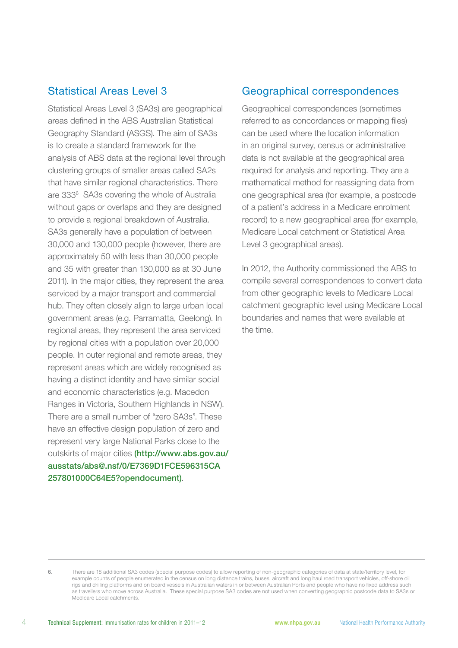#### Statistical Areas Level 3

Statistical Areas Level 3 (SA3s) are geographical areas defined in the ABS Australian Statistical Geography Standard (ASGS). The aim of SA3s is to create a standard framework for the analysis of ABS data at the regional level through clustering groups of smaller areas called SA2s that have similar regional characteristics. There are 333<sup>6</sup> SA3s covering the whole of Australia without gaps or overlaps and they are designed to provide a regional breakdown of Australia. SA3s generally have a population of between 30,000 and 130,000 people (however, there are approximately 50 with less than 30,000 people and 35 with greater than 130,000 as at 30 June 2011). In the major cities, they represent the area serviced by a major transport and commercial hub. They often closely align to large urban local government areas (e.g. Parramatta, Geelong). In regional areas, they represent the area serviced by regional cities with a population over 20,000 people. In outer regional and remote areas, they represent areas which are widely recognised as having a distinct identity and have similar social and economic characteristics (e.g. Macedon Ranges in Victoria, Southern Highlands in NSW). There are a small number of "zero SA3s". These have an effective design population of zero and represent very large National Parks close to the outskirts of major cities (http://www.abs.gov.au/ ausstats/abs@.nsf/0/E7369D1FCE596315CA 257801000C64E5?opendocument).

### Geographical correspondences

Geographical correspondences (sometimes referred to as concordances or mapping files) can be used where the location information in an original survey, census or administrative data is not available at the geographical area required for analysis and reporting. They are a mathematical method for reassigning data from one geographical area (for example, a postcode of a patient's address in a Medicare enrolment record) to a new geographical area (for example, Medicare Local catchment or Statistical Area Level 3 geographical areas).

In 2012, the Authority commissioned the ABS to compile several correspondences to convert data from other geographic levels to Medicare Local catchment geographic level using Medicare Local boundaries and names that were available at the time.

<sup>6.</sup> There are 18 additional SA3 codes (special purpose codes) to allow reporting of non-geographic categories of data at state/territory level, for example counts of people enumerated in the census on long distance trains, buses, aircraft and long haul road transport vehicles, off-shore oil rigs and drilling platforms and on board vessels in Australian waters in or between Australian Ports and people who have no fixed address such as travellers who move across Australia. These special purpose SA3 codes are not used when converting geographic postcode data to SA3s or Medicare Local catchments.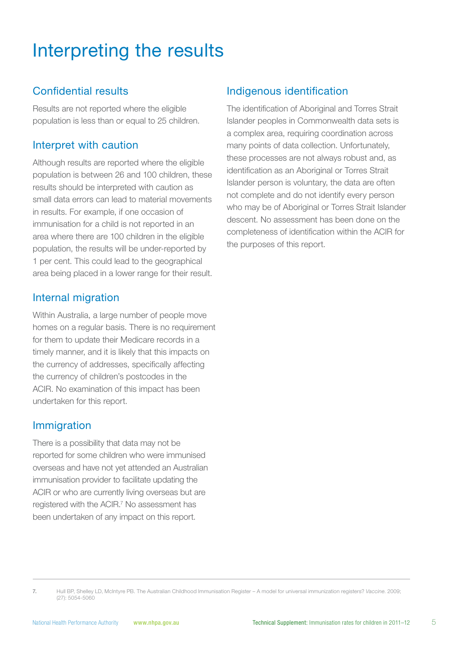## Interpreting the results

## Confidential results

Results are not reported where the eligible population is less than or equal to 25 children.

### Interpret with caution

Although results are reported where the eligible population is between 26 and 100 children, these results should be interpreted with caution as small data errors can lead to material movements in results. For example, if one occasion of immunisation for a child is not reported in an area where there are 100 children in the eligible population, the results will be under-reported by 1 per cent. This could lead to the geographical area being placed in a lower range for their result.

### Internal migration

Within Australia, a large number of people move homes on a regular basis. There is no requirement for them to update their Medicare records in a timely manner, and it is likely that this impacts on the currency of addresses, specifically affecting the currency of children's postcodes in the ACIR. No examination of this impact has been undertaken for this report.

### Immigration

There is a possibility that data may not be reported for some children who were immunised overseas and have not yet attended an Australian immunisation provider to facilitate updating the ACIR or who are currently living overseas but are registered with the ACIR.<sup>7</sup> No assessment has been undertaken of any impact on this report.

### Indigenous identification

The identification of Aboriginal and Torres Strait Islander peoples in Commonwealth data sets is a complex area, requiring coordination across many points of data collection. Unfortunately, these processes are not always robust and, as identification as an Aboriginal or Torres Strait Islander person is voluntary, the data are often not complete and do not identify every person who may be of Aboriginal or Torres Strait Islander descent. No assessment has been done on the completeness of identification within the ACIR for the purposes of this report.

<sup>7.</sup> Hull BP, Shelley LD, McIntyre PB. The Australian Childhood Immunisation Register – A model for universal immunization registers? *Vaccine*. 2009; (27): 5054-5060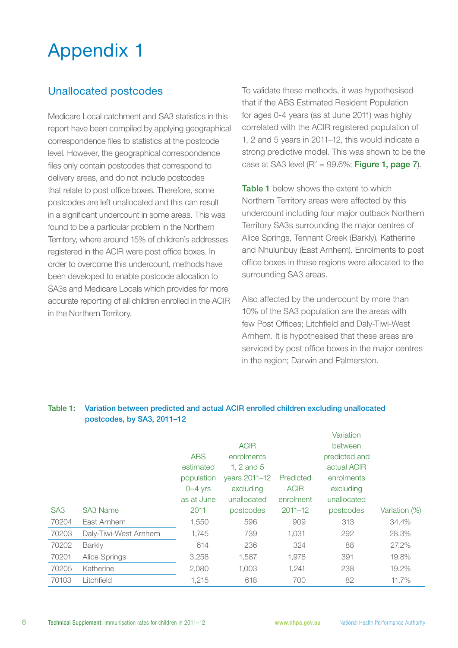## Appendix 1

## Unallocated postcodes

Medicare Local catchment and SA3 statistics in this report have been compiled by applying geographical correspondence files to statistics at the postcode level. However, the geographical correspondence files only contain postcodes that correspond to delivery areas, and do not include postcodes that relate to post office boxes. Therefore, some postcodes are left unallocated and this can result in a significant undercount in some areas. This was found to be a particular problem in the Northern Territory, where around 15% of children's addresses registered in the ACIR were post office boxes. In order to overcome this undercount, methods have been developed to enable postcode allocation to SA3s and Medicare Locals which provides for more accurate reporting of all children enrolled in the ACIR in the Northern Territory.

To validate these methods, it was hypothesised that if the ABS Estimated Resident Population for ages 0-4 years (as at June 2011) was highly correlated with the ACIR registered population of 1, 2 and 5 years in 2011–12, this would indicate a strong predictive model. This was shown to be the case at SA3 level  $(R^2 = 99.6\%;$  Figure 1, page 7).

Table 1 below shows the extent to which Northern Territory areas were affected by this undercount including four major outback Northern Territory SA3s surrounding the major centres of Alice Springs, Tennant Creek (Barkly), Katherine and Nhulunbuy (East Arnhem). Enrolments to post office boxes in these regions were allocated to the surrounding SA3 areas.

Also affected by the undercount by more than 10% of the SA3 population are the areas with few Post Offices; Litchfield and Daly-Tiwi-West Arnhem. It is hypothesised that these areas are serviced by post office boxes in the major centres in the region; Darwin and Palmerston.

|                 |                       |            |                |             | Variation     |               |
|-----------------|-----------------------|------------|----------------|-------------|---------------|---------------|
|                 |                       |            | <b>ACIR</b>    |             | between       |               |
|                 |                       | <b>ABS</b> | enrolments     |             | predicted and |               |
|                 |                       | estimated  | 1, $2$ and $5$ |             | actual ACIR   |               |
|                 |                       | population | years 2011-12  | Predicted   | enrolments    |               |
|                 |                       | $0-4$ yrs  | excluding      | <b>ACIR</b> | excluding     |               |
|                 |                       | as at June | unallocated    | enrolment   | unallocated   |               |
| SA <sub>3</sub> | <b>SA3 Name</b>       | 2011       | postcodes      | $2011 - 12$ | postcodes     | Variation (%) |
| 70204           | East Arnhem           | 1,550      | 596            | 909         | 313           | 34.4%         |
| 70203           | Daly-Tiwi-West Arnhem | 1,745      | 739            | 1,031       | 292           | 28.3%         |
| 70202           | <b>Barkly</b>         | 614        | 236            | 324         | 88            | 27.2%         |
| 70201           | Alice Springs         | 3,258      | 1.587          | 1,978       | 391           | 19.8%         |
| 70205           | Katherine             | 2,080      | 1.003          | 1,241       | 238           | 19.2%         |
| 70103           | Litchfield            | 1,215      | 618            | 700         | 82            | 11.7%         |

#### Table 1: Variation between predicted and actual ACIR enrolled children excluding unallocated postcodes, by SA3, 2011–12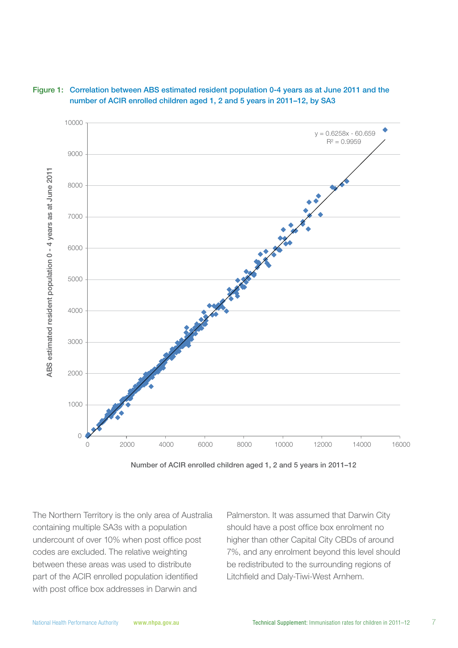



Number of ACIR enrolled children aged 1, 2 and 5 years in 2011–12

The Northern Territory is the only area of Australia containing multiple SA3s with a population undercount of over 10% when post office post codes are excluded. The relative weighting between these areas was used to distribute part of the ACIR enrolled population identified with post office box addresses in Darwin and

Palmerston. It was assumed that Darwin City should have a post office box enrolment no higher than other Capital City CBDs of around 7%, and any enrolment beyond this level should be redistributed to the surrounding regions of Litchfield and Daly-Tiwi-West Arnhem.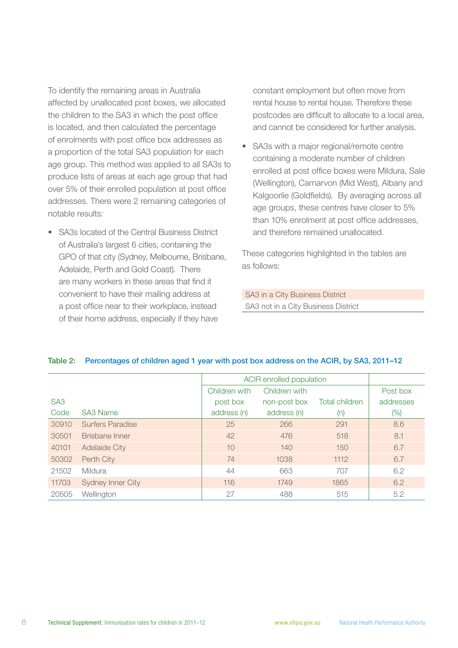To identify the remaining areas in Australia affected by unallocated post boxes, we allocated the children to the SA3 in which the post office is located, and then calculated the percentage of enrolments with post office box addresses as a proportion of the total SA3 population for each age group. This method was applied to all SA3s to produce lists of areas at each age group that had over 5% of their enrolled population at post office addresses. There were 2 remaining categories of notable results:

• SA3s located of the Central Business District of Australia's largest 6 cities, containing the GPO of that city (Sydney, Melbourne, Brisbane, Adelaide, Perth and Gold Coast). There are many workers in these areas that find it convenient to have their mailing address at a post office near to their workplace, instead of their home address, especially if they have

constant employment but often move from rental house to rental house. Therefore these postcodes are difficult to allocate to a local area, and cannot be considered for further analysis.

SA3s with a major regional/remote centre containing a moderate number of children enrolled at post office boxes were Mildura, Sale (Wellington), Carnarvon (Mid West), Albany and Kalgoorlie (Goldfields). By averaging across all age groups, these centres have closer to 5% than 10% enrolment at post office addresses, and therefore remained unallocated.

These categories highlighted in the tables are as follows:

SA3 in a City Business District SA3 not in a City Business District

|                 |                          | ACIR enrolled population |               |                       |           |
|-----------------|--------------------------|--------------------------|---------------|-----------------------|-----------|
|                 |                          | Children with            | Children with |                       | Post box  |
| SA <sub>3</sub> |                          | post box                 | non-post box  | <b>Total children</b> | addresses |
| Code            | SA3 Name                 | address (n)              | address (n)   | (n)                   | $(\%)$    |
| 30910           | <b>Surfers Paradise</b>  | 25                       | 266           | 291                   | 8.6       |
| 30501           | Brisbane Inner           | 42                       | 476           | 518                   | 8.1       |
| 40101           | <b>Adelaide City</b>     | 10                       | 140           | 150                   | 6.7       |
| 50302           | Perth City               | 74                       | 1038          | 1112                  | 6.7       |
| 21502           | Mildura                  | 44                       | 663           | 707                   | 6.2       |
| 11703           | <b>Sydney Inner City</b> | 116                      | 1749          | 1865                  | 6.2       |
| 20505           | Wellington               | 27                       | 488           | 515                   | 5.2       |

#### Table 2: Percentages of children aged 1 year with post box address on the ACIR, by SA3, 2011–12